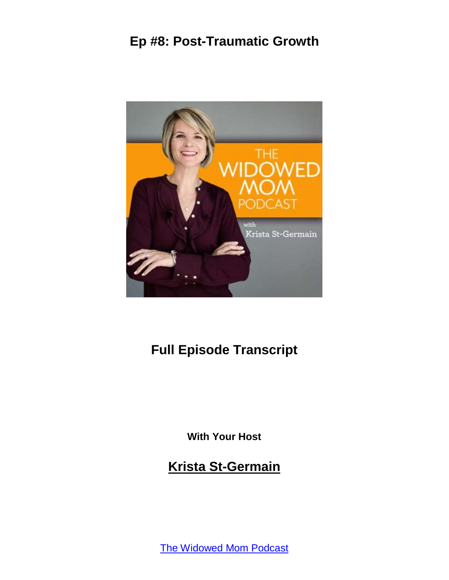

# **Full Episode Transcript**

**With Your Host**

**Krista St-Germain**

[The Widowed Mom Podcast](https://coachingwithkrista.com/podcast)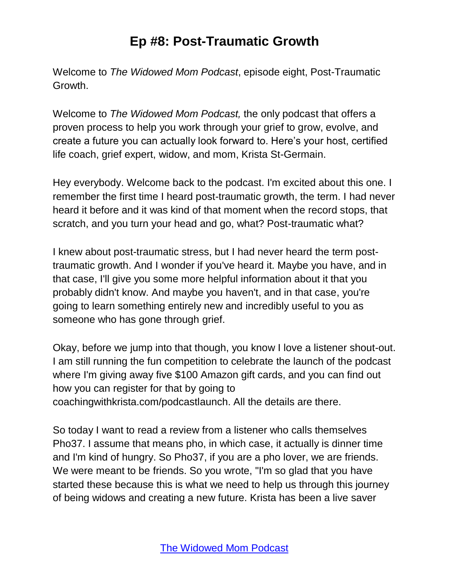Welcome to *The Widowed Mom Podcast*, episode eight, Post-Traumatic Growth.

Welcome to *The Widowed Mom Podcast,* the only podcast that offers a proven process to help you work through your grief to grow, evolve, and create a future you can actually look forward to. Here's your host, certified life coach, grief expert, widow, and mom, Krista St-Germain.

Hey everybody. Welcome back to the podcast. I'm excited about this one. I remember the first time I heard post-traumatic growth, the term. I had never heard it before and it was kind of that moment when the record stops, that scratch, and you turn your head and go, what? Post-traumatic what?

I knew about post-traumatic stress, but I had never heard the term posttraumatic growth. And I wonder if you've heard it. Maybe you have, and in that case, I'll give you some more helpful information about it that you probably didn't know. And maybe you haven't, and in that case, you're going to learn something entirely new and incredibly useful to you as someone who has gone through grief.

Okay, before we jump into that though, you know I love a listener shout-out. I am still running the fun competition to celebrate the launch of the podcast where I'm giving away five \$100 Amazon gift cards, and you can find out how you can register for that by going to coachingwithkrista.com/podcastlaunch. All the details are there.

So today I want to read a review from a listener who calls themselves Pho37. I assume that means pho, in which case, it actually is dinner time and I'm kind of hungry. So Pho37, if you are a pho lover, we are friends. We were meant to be friends. So you wrote, "I'm so glad that you have started these because this is what we need to help us through this journey of being widows and creating a new future. Krista has been a live saver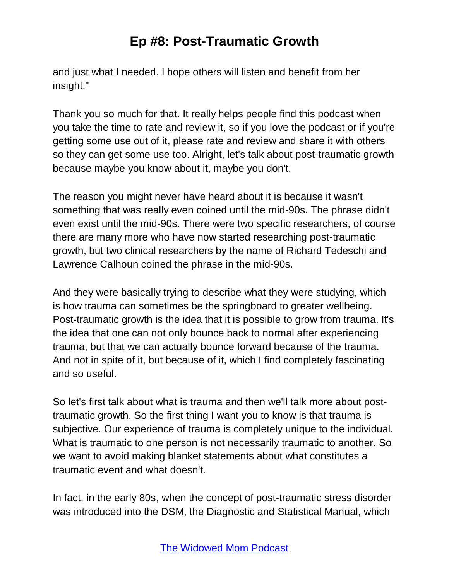and just what I needed. I hope others will listen and benefit from her insight."

Thank you so much for that. It really helps people find this podcast when you take the time to rate and review it, so if you love the podcast or if you're getting some use out of it, please rate and review and share it with others so they can get some use too. Alright, let's talk about post-traumatic growth because maybe you know about it, maybe you don't.

The reason you might never have heard about it is because it wasn't something that was really even coined until the mid-90s. The phrase didn't even exist until the mid-90s. There were two specific researchers, of course there are many more who have now started researching post-traumatic growth, but two clinical researchers by the name of Richard Tedeschi and Lawrence Calhoun coined the phrase in the mid-90s.

And they were basically trying to describe what they were studying, which is how trauma can sometimes be the springboard to greater wellbeing. Post-traumatic growth is the idea that it is possible to grow from trauma. It's the idea that one can not only bounce back to normal after experiencing trauma, but that we can actually bounce forward because of the trauma. And not in spite of it, but because of it, which I find completely fascinating and so useful.

So let's first talk about what is trauma and then we'll talk more about posttraumatic growth. So the first thing I want you to know is that trauma is subjective. Our experience of trauma is completely unique to the individual. What is traumatic to one person is not necessarily traumatic to another. So we want to avoid making blanket statements about what constitutes a traumatic event and what doesn't.

In fact, in the early 80s, when the concept of post-traumatic stress disorder was introduced into the DSM, the Diagnostic and Statistical Manual, which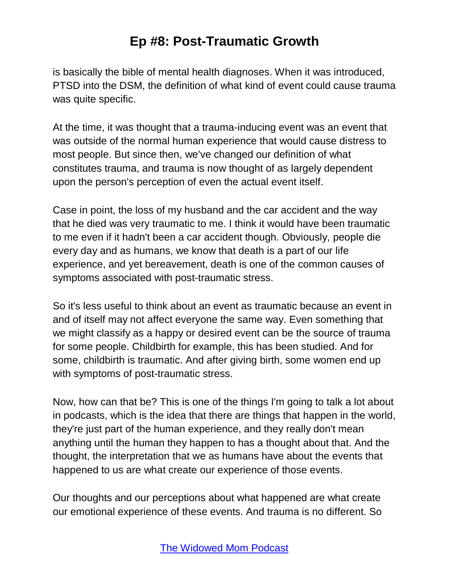is basically the bible of mental health diagnoses. When it was introduced, PTSD into the DSM, the definition of what kind of event could cause trauma was quite specific.

At the time, it was thought that a trauma-inducing event was an event that was outside of the normal human experience that would cause distress to most people. But since then, we've changed our definition of what constitutes trauma, and trauma is now thought of as largely dependent upon the person's perception of even the actual event itself.

Case in point, the loss of my husband and the car accident and the way that he died was very traumatic to me. I think it would have been traumatic to me even if it hadn't been a car accident though. Obviously, people die every day and as humans, we know that death is a part of our life experience, and yet bereavement, death is one of the common causes of symptoms associated with post-traumatic stress.

So it's less useful to think about an event as traumatic because an event in and of itself may not affect everyone the same way. Even something that we might classify as a happy or desired event can be the source of trauma for some people. Childbirth for example, this has been studied. And for some, childbirth is traumatic. And after giving birth, some women end up with symptoms of post-traumatic stress.

Now, how can that be? This is one of the things I'm going to talk a lot about in podcasts, which is the idea that there are things that happen in the world, they're just part of the human experience, and they really don't mean anything until the human they happen to has a thought about that. And the thought, the interpretation that we as humans have about the events that happened to us are what create our experience of those events.

Our thoughts and our perceptions about what happened are what create our emotional experience of these events. And trauma is no different. So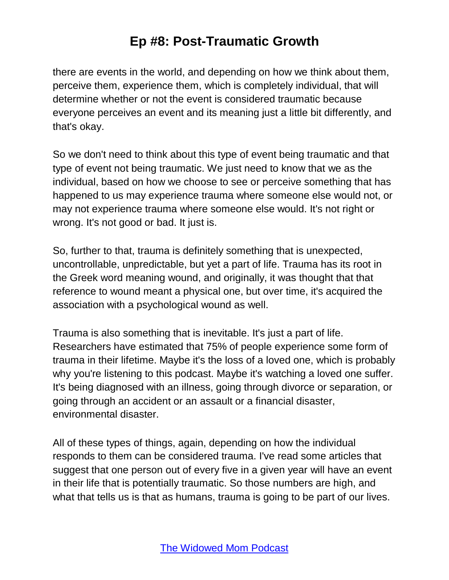there are events in the world, and depending on how we think about them, perceive them, experience them, which is completely individual, that will determine whether or not the event is considered traumatic because everyone perceives an event and its meaning just a little bit differently, and that's okay.

So we don't need to think about this type of event being traumatic and that type of event not being traumatic. We just need to know that we as the individual, based on how we choose to see or perceive something that has happened to us may experience trauma where someone else would not, or may not experience trauma where someone else would. It's not right or wrong. It's not good or bad. It just is.

So, further to that, trauma is definitely something that is unexpected, uncontrollable, unpredictable, but yet a part of life. Trauma has its root in the Greek word meaning wound, and originally, it was thought that that reference to wound meant a physical one, but over time, it's acquired the association with a psychological wound as well.

Trauma is also something that is inevitable. It's just a part of life. Researchers have estimated that 75% of people experience some form of trauma in their lifetime. Maybe it's the loss of a loved one, which is probably why you're listening to this podcast. Maybe it's watching a loved one suffer. It's being diagnosed with an illness, going through divorce or separation, or going through an accident or an assault or a financial disaster, environmental disaster.

All of these types of things, again, depending on how the individual responds to them can be considered trauma. I've read some articles that suggest that one person out of every five in a given year will have an event in their life that is potentially traumatic. So those numbers are high, and what that tells us is that as humans, trauma is going to be part of our lives.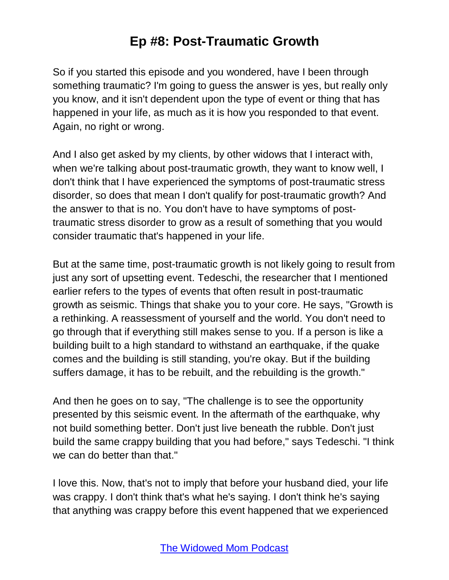So if you started this episode and you wondered, have I been through something traumatic? I'm going to guess the answer is yes, but really only you know, and it isn't dependent upon the type of event or thing that has happened in your life, as much as it is how you responded to that event. Again, no right or wrong.

And I also get asked by my clients, by other widows that I interact with, when we're talking about post-traumatic growth, they want to know well, I don't think that I have experienced the symptoms of post-traumatic stress disorder, so does that mean I don't qualify for post-traumatic growth? And the answer to that is no. You don't have to have symptoms of posttraumatic stress disorder to grow as a result of something that you would consider traumatic that's happened in your life.

But at the same time, post-traumatic growth is not likely going to result from just any sort of upsetting event. Tedeschi, the researcher that I mentioned earlier refers to the types of events that often result in post-traumatic growth as seismic. Things that shake you to your core. He says, "Growth is a rethinking. A reassessment of yourself and the world. You don't need to go through that if everything still makes sense to you. If a person is like a building built to a high standard to withstand an earthquake, if the quake comes and the building is still standing, you're okay. But if the building suffers damage, it has to be rebuilt, and the rebuilding is the growth."

And then he goes on to say, "The challenge is to see the opportunity presented by this seismic event. In the aftermath of the earthquake, why not build something better. Don't just live beneath the rubble. Don't just build the same crappy building that you had before," says Tedeschi. "I think we can do better than that."

I love this. Now, that's not to imply that before your husband died, your life was crappy. I don't think that's what he's saying. I don't think he's saying that anything was crappy before this event happened that we experienced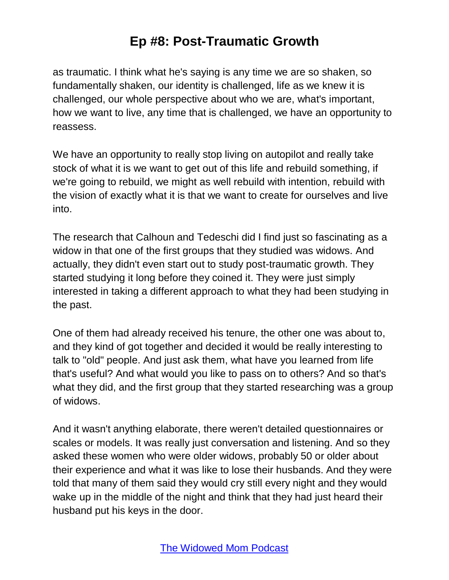as traumatic. I think what he's saying is any time we are so shaken, so fundamentally shaken, our identity is challenged, life as we knew it is challenged, our whole perspective about who we are, what's important, how we want to live, any time that is challenged, we have an opportunity to reassess.

We have an opportunity to really stop living on autopilot and really take stock of what it is we want to get out of this life and rebuild something, if we're going to rebuild, we might as well rebuild with intention, rebuild with the vision of exactly what it is that we want to create for ourselves and live into.

The research that Calhoun and Tedeschi did I find just so fascinating as a widow in that one of the first groups that they studied was widows. And actually, they didn't even start out to study post-traumatic growth. They started studying it long before they coined it. They were just simply interested in taking a different approach to what they had been studying in the past.

One of them had already received his tenure, the other one was about to, and they kind of got together and decided it would be really interesting to talk to "old" people. And just ask them, what have you learned from life that's useful? And what would you like to pass on to others? And so that's what they did, and the first group that they started researching was a group of widows.

And it wasn't anything elaborate, there weren't detailed questionnaires or scales or models. It was really just conversation and listening. And so they asked these women who were older widows, probably 50 or older about their experience and what it was like to lose their husbands. And they were told that many of them said they would cry still every night and they would wake up in the middle of the night and think that they had just heard their husband put his keys in the door.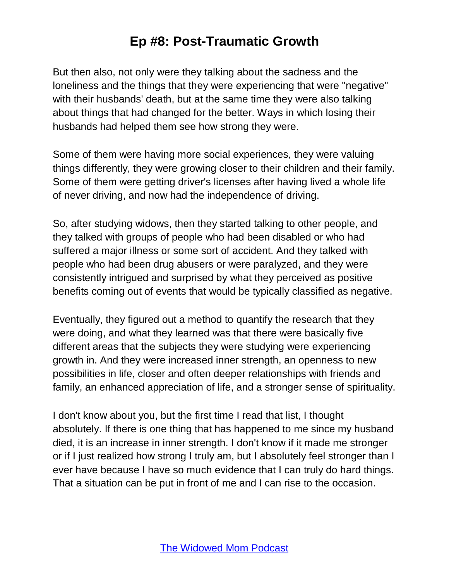But then also, not only were they talking about the sadness and the loneliness and the things that they were experiencing that were "negative" with their husbands' death, but at the same time they were also talking about things that had changed for the better. Ways in which losing their husbands had helped them see how strong they were.

Some of them were having more social experiences, they were valuing things differently, they were growing closer to their children and their family. Some of them were getting driver's licenses after having lived a whole life of never driving, and now had the independence of driving.

So, after studying widows, then they started talking to other people, and they talked with groups of people who had been disabled or who had suffered a major illness or some sort of accident. And they talked with people who had been drug abusers or were paralyzed, and they were consistently intrigued and surprised by what they perceived as positive benefits coming out of events that would be typically classified as negative.

Eventually, they figured out a method to quantify the research that they were doing, and what they learned was that there were basically five different areas that the subjects they were studying were experiencing growth in. And they were increased inner strength, an openness to new possibilities in life, closer and often deeper relationships with friends and family, an enhanced appreciation of life, and a stronger sense of spirituality.

I don't know about you, but the first time I read that list, I thought absolutely. If there is one thing that has happened to me since my husband died, it is an increase in inner strength. I don't know if it made me stronger or if I just realized how strong I truly am, but I absolutely feel stronger than I ever have because I have so much evidence that I can truly do hard things. That a situation can be put in front of me and I can rise to the occasion.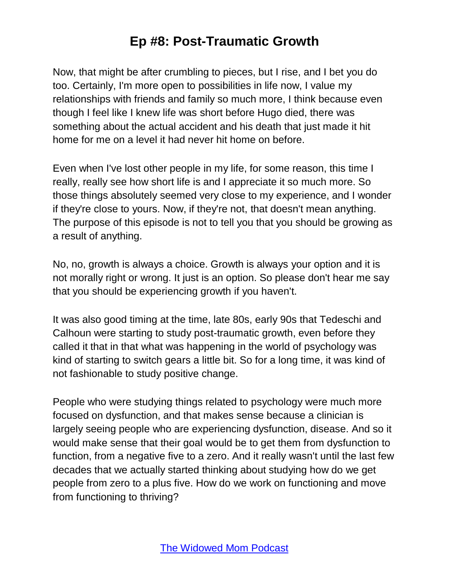Now, that might be after crumbling to pieces, but I rise, and I bet you do too. Certainly, I'm more open to possibilities in life now, I value my relationships with friends and family so much more, I think because even though I feel like I knew life was short before Hugo died, there was something about the actual accident and his death that just made it hit home for me on a level it had never hit home on before.

Even when I've lost other people in my life, for some reason, this time I really, really see how short life is and I appreciate it so much more. So those things absolutely seemed very close to my experience, and I wonder if they're close to yours. Now, if they're not, that doesn't mean anything. The purpose of this episode is not to tell you that you should be growing as a result of anything.

No, no, growth is always a choice. Growth is always your option and it is not morally right or wrong. It just is an option. So please don't hear me say that you should be experiencing growth if you haven't.

It was also good timing at the time, late 80s, early 90s that Tedeschi and Calhoun were starting to study post-traumatic growth, even before they called it that in that what was happening in the world of psychology was kind of starting to switch gears a little bit. So for a long time, it was kind of not fashionable to study positive change.

People who were studying things related to psychology were much more focused on dysfunction, and that makes sense because a clinician is largely seeing people who are experiencing dysfunction, disease. And so it would make sense that their goal would be to get them from dysfunction to function, from a negative five to a zero. And it really wasn't until the last few decades that we actually started thinking about studying how do we get people from zero to a plus five. How do we work on functioning and move from functioning to thriving?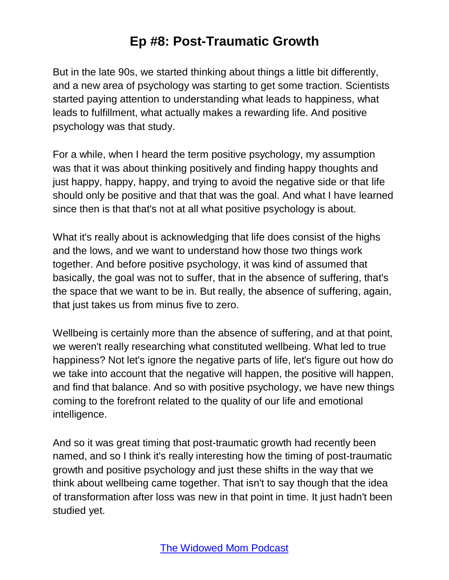But in the late 90s, we started thinking about things a little bit differently, and a new area of psychology was starting to get some traction. Scientists started paying attention to understanding what leads to happiness, what leads to fulfillment, what actually makes a rewarding life. And positive psychology was that study.

For a while, when I heard the term positive psychology, my assumption was that it was about thinking positively and finding happy thoughts and just happy, happy, happy, and trying to avoid the negative side or that life should only be positive and that that was the goal. And what I have learned since then is that that's not at all what positive psychology is about.

What it's really about is acknowledging that life does consist of the highs and the lows, and we want to understand how those two things work together. And before positive psychology, it was kind of assumed that basically, the goal was not to suffer, that in the absence of suffering, that's the space that we want to be in. But really, the absence of suffering, again, that just takes us from minus five to zero.

Wellbeing is certainly more than the absence of suffering, and at that point, we weren't really researching what constituted wellbeing. What led to true happiness? Not let's ignore the negative parts of life, let's figure out how do we take into account that the negative will happen, the positive will happen, and find that balance. And so with positive psychology, we have new things coming to the forefront related to the quality of our life and emotional intelligence.

And so it was great timing that post-traumatic growth had recently been named, and so I think it's really interesting how the timing of post-traumatic growth and positive psychology and just these shifts in the way that we think about wellbeing came together. That isn't to say though that the idea of transformation after loss was new in that point in time. It just hadn't been studied yet.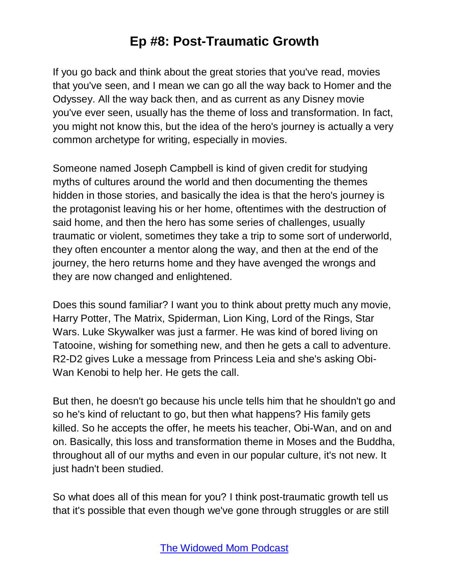If you go back and think about the great stories that you've read, movies that you've seen, and I mean we can go all the way back to Homer and the Odyssey. All the way back then, and as current as any Disney movie you've ever seen, usually has the theme of loss and transformation. In fact, you might not know this, but the idea of the hero's journey is actually a very common archetype for writing, especially in movies.

Someone named Joseph Campbell is kind of given credit for studying myths of cultures around the world and then documenting the themes hidden in those stories, and basically the idea is that the hero's journey is the protagonist leaving his or her home, oftentimes with the destruction of said home, and then the hero has some series of challenges, usually traumatic or violent, sometimes they take a trip to some sort of underworld, they often encounter a mentor along the way, and then at the end of the journey, the hero returns home and they have avenged the wrongs and they are now changed and enlightened.

Does this sound familiar? I want you to think about pretty much any movie, Harry Potter, The Matrix, Spiderman, Lion King, Lord of the Rings, Star Wars. Luke Skywalker was just a farmer. He was kind of bored living on Tatooine, wishing for something new, and then he gets a call to adventure. R2-D2 gives Luke a message from Princess Leia and she's asking Obi-Wan Kenobi to help her. He gets the call.

But then, he doesn't go because his uncle tells him that he shouldn't go and so he's kind of reluctant to go, but then what happens? His family gets killed. So he accepts the offer, he meets his teacher, Obi-Wan, and on and on. Basically, this loss and transformation theme in Moses and the Buddha, throughout all of our myths and even in our popular culture, it's not new. It just hadn't been studied.

So what does all of this mean for you? I think post-traumatic growth tell us that it's possible that even though we've gone through struggles or are still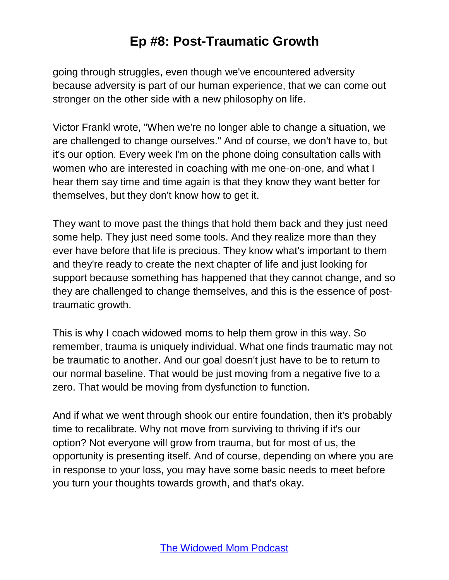going through struggles, even though we've encountered adversity because adversity is part of our human experience, that we can come out stronger on the other side with a new philosophy on life.

Victor Frankl wrote, "When we're no longer able to change a situation, we are challenged to change ourselves." And of course, we don't have to, but it's our option. Every week I'm on the phone doing consultation calls with women who are interested in coaching with me one-on-one, and what I hear them say time and time again is that they know they want better for themselves, but they don't know how to get it.

They want to move past the things that hold them back and they just need some help. They just need some tools. And they realize more than they ever have before that life is precious. They know what's important to them and they're ready to create the next chapter of life and just looking for support because something has happened that they cannot change, and so they are challenged to change themselves, and this is the essence of posttraumatic growth.

This is why I coach widowed moms to help them grow in this way. So remember, trauma is uniquely individual. What one finds traumatic may not be traumatic to another. And our goal doesn't just have to be to return to our normal baseline. That would be just moving from a negative five to a zero. That would be moving from dysfunction to function.

And if what we went through shook our entire foundation, then it's probably time to recalibrate. Why not move from surviving to thriving if it's our option? Not everyone will grow from trauma, but for most of us, the opportunity is presenting itself. And of course, depending on where you are in response to your loss, you may have some basic needs to meet before you turn your thoughts towards growth, and that's okay.